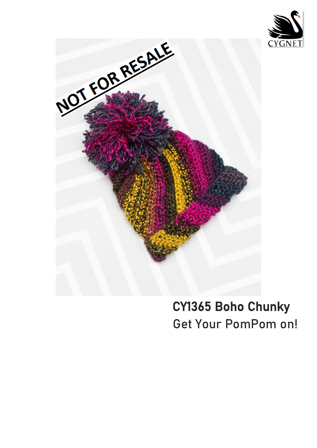



# **CY1365 Boho Chunky Get Your PomPom on!**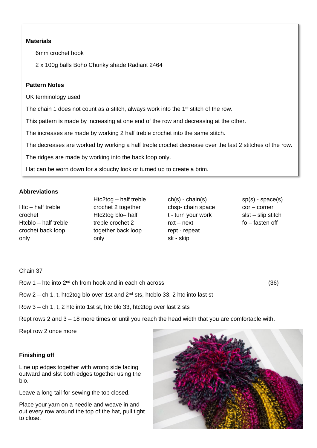## **Materials**

6mm crochet hook

2 x 100g balls Boho Chunky shade Radiant 2464

## **Pattern Notes**

UK terminology used

The chain 1 does not count as a stitch, always work into the 1<sup>st</sup> stitch of the row.

This pattern is made by increasing at one end of the row and decreasing at the other.

The increases are made by working 2 half treble crochet into the same stitch.

The decreases are worked by working a half treble crochet decrease over the last 2 stitches of the row.

The ridges are made by working into the back loop only.

Hat can be worn down for a slouchy look or turned up to create a brim.

# **Abbreviations**

Htc – half treble crochet Htcblo – half treble crochet back loop only

Htc2tog – half treble crochet 2 together Htc2tog blo– half treble crochet 2 together back loop only

ch(s) - chain(s) chsp- chain space t - turn your work nxt – next rept - repeat sk - skip

sp(s) - space(s) cor – corner slst – slip stitch fo – fasten off

 $\overline{1}$ 

I

I

I

I

I

I

I

I

I

I

 $\overline{\phantom{a}}$ 

Chain 37

Row 1 – htc into  $2^{nd}$  ch from hook and in each ch across (36) Row 2 – ch 1, t, htc2tog blo over 1st and  $2^{nd}$  sts, htcblo 33, 2 htc into last st

Row 3 – ch 1, t, 2 htc into 1st st, htc blo 33, htc2tog over last 2 sts

Rept rows 2 and 3 – 18 more times or until you reach the head width that you are comfortable with.

Rept row 2 once more

## **Finishing off**

Line up edges together with wrong side facing outward and slst both edges together using the blo.

Leave a long tail for sewing the top closed.

Place your yarn on a needle and weave in and out every row around the top of the hat, pull tight to close.